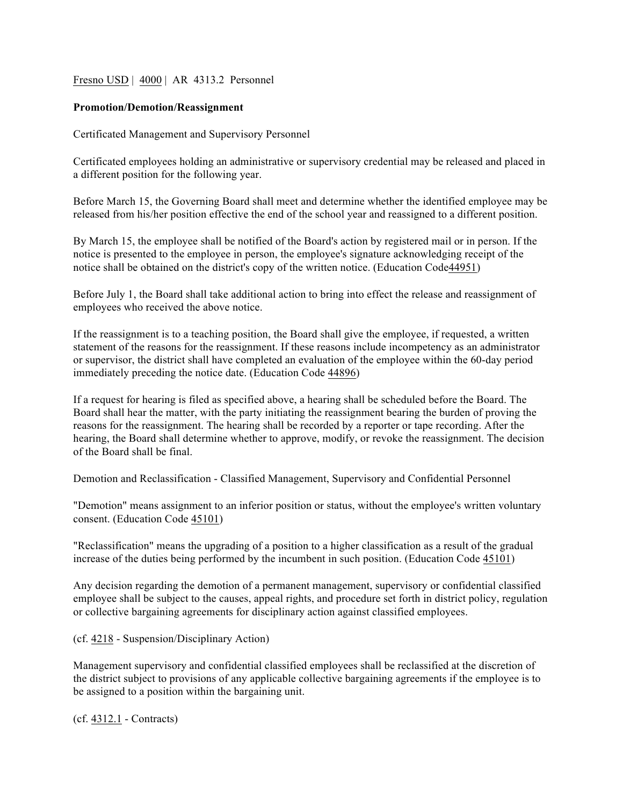Fresno USD | 4000 | AR 4313.2 Personnel

## **Promotion/Demotion/Reassignment**

Certificated Management and Supervisory Personnel

Certificated employees holding an administrative or supervisory credential may be released and placed in a different position for the following year.

Before March 15, the Governing Board shall meet and determine whether the identified employee may be released from his/her position effective the end of the school year and reassigned to a different position.

By March 15, the employee shall be notified of the Board's action by registered mail or in person. If the notice is presented to the employee in person, the employee's signature acknowledging receipt of the notice shall be obtained on the district's copy of the written notice. (Education Code44951)

Before July 1, the Board shall take additional action to bring into effect the release and reassignment of employees who received the above notice.

If the reassignment is to a teaching position, the Board shall give the employee, if requested, a written statement of the reasons for the reassignment. If these reasons include incompetency as an administrator or supervisor, the district shall have completed an evaluation of the employee within the 60-day period immediately preceding the notice date. (Education Code 44896)

If a request for hearing is filed as specified above, a hearing shall be scheduled before the Board. The Board shall hear the matter, with the party initiating the reassignment bearing the burden of proving the reasons for the reassignment. The hearing shall be recorded by a reporter or tape recording. After the hearing, the Board shall determine whether to approve, modify, or revoke the reassignment. The decision of the Board shall be final.

Demotion and Reclassification - Classified Management, Supervisory and Confidential Personnel

"Demotion" means assignment to an inferior position or status, without the employee's written voluntary consent. (Education Code 45101)

"Reclassification" means the upgrading of a position to a higher classification as a result of the gradual increase of the duties being performed by the incumbent in such position. (Education Code 45101)

Any decision regarding the demotion of a permanent management, supervisory or confidential classified employee shall be subject to the causes, appeal rights, and procedure set forth in district policy, regulation or collective bargaining agreements for disciplinary action against classified employees.

(cf. 4218 - Suspension/Disciplinary Action)

Management supervisory and confidential classified employees shall be reclassified at the discretion of the district subject to provisions of any applicable collective bargaining agreements if the employee is to be assigned to a position within the bargaining unit.

(cf. 4312.1 - Contracts)